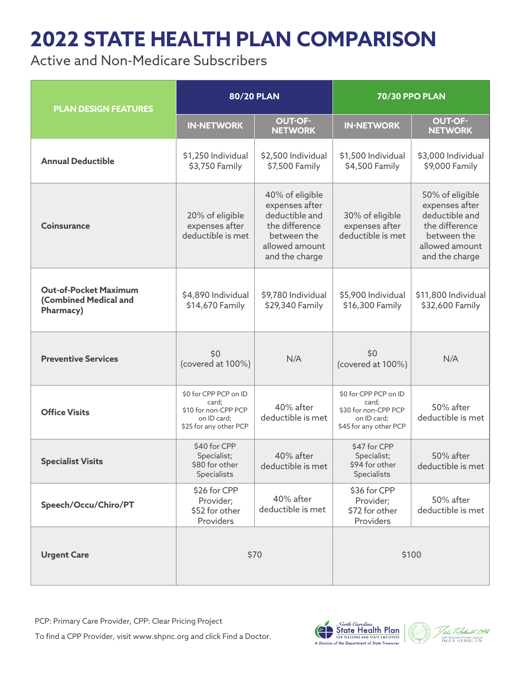## **2022 STATE HEALTH PLAN COMPARISON**

Active and Non-Medicare Subscribers

| <b>PLAN DESIGN FEATURES</b>                                        | <b>80/20 PLAN</b>                                                                               |                                                                                                                          | <b>70/30 PPO PLAN</b>                                                                           |                                                                                                                          |
|--------------------------------------------------------------------|-------------------------------------------------------------------------------------------------|--------------------------------------------------------------------------------------------------------------------------|-------------------------------------------------------------------------------------------------|--------------------------------------------------------------------------------------------------------------------------|
|                                                                    | <b>IN-NETWORK</b>                                                                               | <b>OUT-OF-</b><br><b>NETWORK</b>                                                                                         | <b>IN-NETWORK</b>                                                                               | <b>OUT-OF-</b><br><b>NETWORK</b>                                                                                         |
| <b>Annual Deductible</b>                                           | \$1,250 Individual<br>\$3,750 Family                                                            | \$2,500 Individual<br>\$7,500 Family                                                                                     | \$1,500 Individual<br>\$4,500 Family                                                            | \$3,000 Individual<br>\$9,000 Family                                                                                     |
| <b>Coinsurance</b>                                                 | 20% of eligible<br>expenses after<br>deductible is met                                          | 40% of eligible<br>expenses after<br>deductible and<br>the difference<br>between the<br>allowed amount<br>and the charge | 30% of eligible<br>expenses after<br>deductible is met                                          | 50% of eligible<br>expenses after<br>deductible and<br>the difference<br>between the<br>allowed amount<br>and the charge |
| <b>Out-of-Pocket Maximum</b><br>(Combined Medical and<br>Pharmacy) | \$4,890 Individual<br>\$14,670 Family                                                           | \$9,780 Individual<br>\$29,340 Family                                                                                    | \$5,900 Individual<br>\$16,300 Family                                                           | \$11,800 Individual<br>\$32,600 Family                                                                                   |
| <b>Preventive Services</b>                                         | \$0<br>(covered at 100%)                                                                        | N/A                                                                                                                      | \$0<br>(covered at 100%)                                                                        | N/A                                                                                                                      |
| <b>Office Visits</b>                                               | \$0 for CPP PCP on ID<br>card;<br>\$10 for non-CPP PCP<br>on ID card;<br>\$25 for any other PCP | 40% after<br>deductible is met                                                                                           | \$0 for CPP PCP on ID<br>card;<br>\$30 for non-CPP PCP<br>on ID card;<br>\$45 for any other PCP | 50% after<br>deductible is met                                                                                           |
| <b>Specialist Visits</b>                                           | \$40 for CPP<br>Specialist;<br>\$80 for other<br>Specialists                                    | 40% after<br>deductible is met                                                                                           | \$47 for CPP<br>Specialist;<br>\$94 for other<br>Specialists                                    | 50% after<br>deductible is met                                                                                           |
| Speech/Occu/Chiro/PT                                               | \$26 for CPP<br>Provider;<br>\$52 for other<br>Providers                                        | 40% after<br>deductible is met                                                                                           | \$36 for CPP<br>Provider;<br>\$72 for other<br>Providers                                        | 50% after<br>deductible is met                                                                                           |
| <b>Urgent Care</b>                                                 | \$70                                                                                            |                                                                                                                          | \$100                                                                                           |                                                                                                                          |

PCP: Primary Care Provider, CPP: Clear Pricing Project

To find a CPP Provider, visit www.shpnc.org and click Find a Doctor.